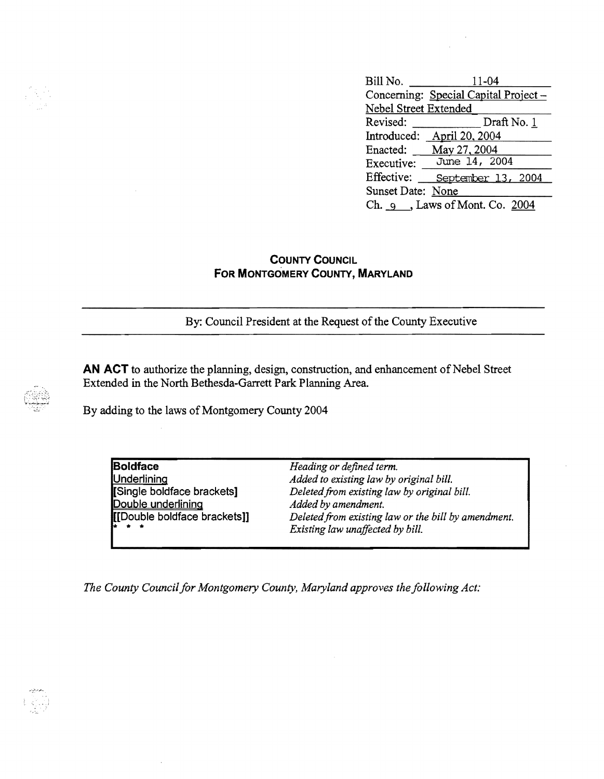| Bill No.                         | 11-04                                 |
|----------------------------------|---------------------------------------|
|                                  | Concerning: Special Capital Project - |
| Nebel Street Extended            |                                       |
| Revised:                         | Draft No. 1                           |
| Introduced:                      | April 20, 2004                        |
| Enacted:                         | May 27, 2004                          |
| Executive:                       | June 14, 2004                         |
| Effective:                       | September 13, 2004                    |
| Sunset Date: None                |                                       |
| Ch. $9$ , Laws of Mont. Co. 2004 |                                       |

## **COUNTY COUNCIL FOR MONTGOMERY COUNTY, MARYLAND**

By: Council President at the Request of the County Executive

**AN ACT** to authorize the planning, design, construction, and enhancement of Nebel Street Extended in the North Bethesda-Garrett Park Planning Area.

By adding to the laws of Montgomery County 2004

**Boldface** *Heading or defined term.* Underlining *Added to existing law by original bill.* Deleted from existing law by original bill.<br>Added by amendment. **Double underlining<br>[[Double boldface brackets]]** Deleted from existing law or the bill by amendment.  $Existing$  law unaffected by bill.

*The County Council for Montgomery County, Maryland approves the following Act:*